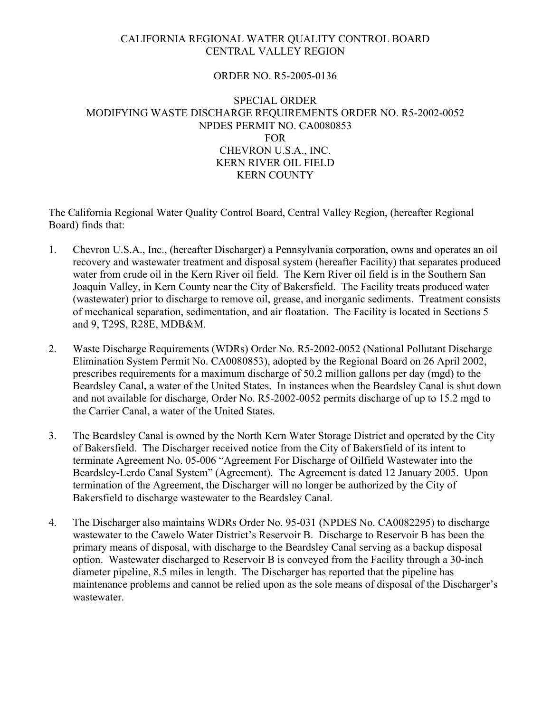## CALIFORNIA REGIONAL WATER QUALITY CONTROL BOARD CENTRAL VALLEY REGION

### ORDER NO. R5-2005-0136

# SPECIAL ORDER MODIFYING WASTE DISCHARGE REQUIREMENTS ORDER NO. R5-2002-0052 NPDES PERMIT NO. CA0080853 FOR CHEVRON U.S.A., INC. KERN RIVER OIL FIELD KERN COUNTY

The California Regional Water Quality Control Board, Central Valley Region, (hereafter Regional Board) finds that:

- 1. Chevron U.S.A., Inc., (hereafter Discharger) a Pennsylvania corporation, owns and operates an oil recovery and wastewater treatment and disposal system (hereafter Facility) that separates produced water from crude oil in the Kern River oil field. The Kern River oil field is in the Southern San Joaquin Valley, in Kern County near the City of Bakersfield. The Facility treats produced water (wastewater) prior to discharge to remove oil, grease, and inorganic sediments. Treatment consists of mechanical separation, sedimentation, and air floatation. The Facility is located in Sections 5 and 9, T29S, R28E, MDB&M.
- 2. Waste Discharge Requirements (WDRs) Order No. R5-2002-0052 (National Pollutant Discharge Elimination System Permit No. CA0080853), adopted by the Regional Board on 26 April 2002, prescribes requirements for a maximum discharge of 50.2 million gallons per day (mgd) to the Beardsley Canal, a water of the United States. In instances when the Beardsley Canal is shut down and not available for discharge, Order No. R5-2002-0052 permits discharge of up to 15.2 mgd to the Carrier Canal, a water of the United States.
- 3. The Beardsley Canal is owned by the North Kern Water Storage District and operated by the City of Bakersfield. The Discharger received notice from the City of Bakersfield of its intent to terminate Agreement No. 05-006 "Agreement For Discharge of Oilfield Wastewater into the Beardsley-Lerdo Canal System" (Agreement). The Agreement is dated 12 January 2005. Upon termination of the Agreement, the Discharger will no longer be authorized by the City of Bakersfield to discharge wastewater to the Beardsley Canal.
- 4. The Discharger also maintains WDRs Order No. 95-031 (NPDES No. CA0082295) to discharge wastewater to the Cawelo Water District's Reservoir B. Discharge to Reservoir B has been the primary means of disposal, with discharge to the Beardsley Canal serving as a backup disposal option. Wastewater discharged to Reservoir B is conveyed from the Facility through a 30-inch diameter pipeline, 8.5 miles in length. The Discharger has reported that the pipeline has maintenance problems and cannot be relied upon as the sole means of disposal of the Discharger's wastewater.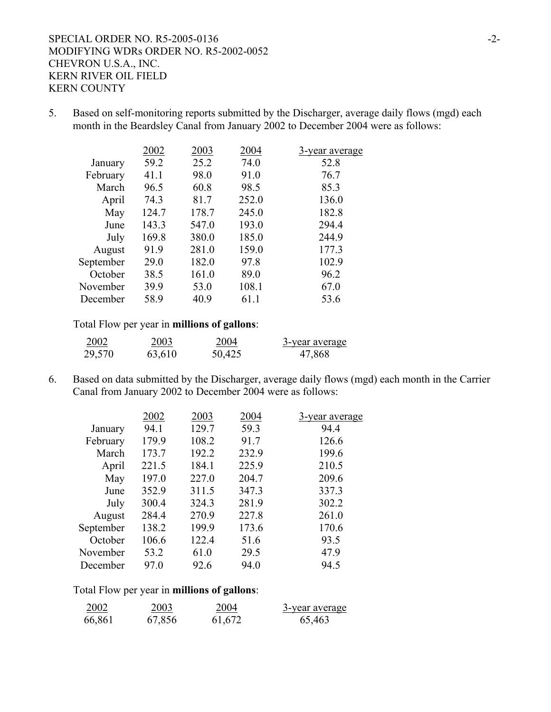5. Based on self-monitoring reports submitted by the Discharger, average daily flows (mgd) each month in the Beardsley Canal from January 2002 to December 2004 were as follows:

|           | 2002  | 2003  | 2004  | 3-year average |
|-----------|-------|-------|-------|----------------|
| January   | 59.2  | 25.2  | 74.0  | 52.8           |
| February  | 41.1  | 98.0  | 91.0  | 76.7           |
| March     | 96.5  | 60.8  | 98.5  | 85.3           |
| April     | 74.3  | 81.7  | 252.0 | 136.0          |
| May       | 124.7 | 178.7 | 245.0 | 182.8          |
| June      | 143.3 | 547.0 | 193.0 | 294.4          |
| July      | 169.8 | 380.0 | 185.0 | 244.9          |
| August    | 91.9  | 281.0 | 159.0 | 177.3          |
| September | 29.0  | 182.0 | 97.8  | 102.9          |
| October   | 38.5  | 161.0 | 89.0  | 96.2           |
| November  | 39.9  | 53.0  | 108.1 | 67.0           |
| December  | 58.9  | 40.9  | 61.1  | 53.6           |
|           |       |       |       |                |

Total Flow per year in **millions of gallons**:

| 2002   | 2003   | 2004   | <u>3-year average</u> |
|--------|--------|--------|-----------------------|
| 29,570 | 63,610 | 50,425 | 47,868                |

6. Based on data submitted by the Discharger, average daily flows (mgd) each month in the Carrier Canal from January 2002 to December 2004 were as follows:

|           | 2002  | 2003  | 2004  | 3-year average |
|-----------|-------|-------|-------|----------------|
| January   | 94.1  | 129.7 | 59.3  | 94.4           |
| February  | 179.9 | 108.2 | 91.7  | 126.6          |
| March     | 173.7 | 192.2 | 232.9 | 199.6          |
| April     | 221.5 | 184.1 | 225.9 | 210.5          |
| May       | 197.0 | 227.0 | 204.7 | 209.6          |
| June      | 352.9 | 311.5 | 347.3 | 337.3          |
| July      | 300.4 | 324.3 | 281.9 | 302.2          |
| August    | 284.4 | 270.9 | 227.8 | 261.0          |
| September | 138.2 | 199.9 | 173.6 | 170.6          |
| October   | 106.6 | 122.4 | 51.6  | 93.5           |
| November  | 53.2  | 61.0  | 29.5  | 47.9           |
| December  | 97.0  | 92.6  | 94.0  | 94.5           |

Total Flow per year in **millions of gallons**:

| 2002   | 2003   | 2004   | 3-year average |
|--------|--------|--------|----------------|
| 66,861 | 67,856 | 61,672 | 65,463         |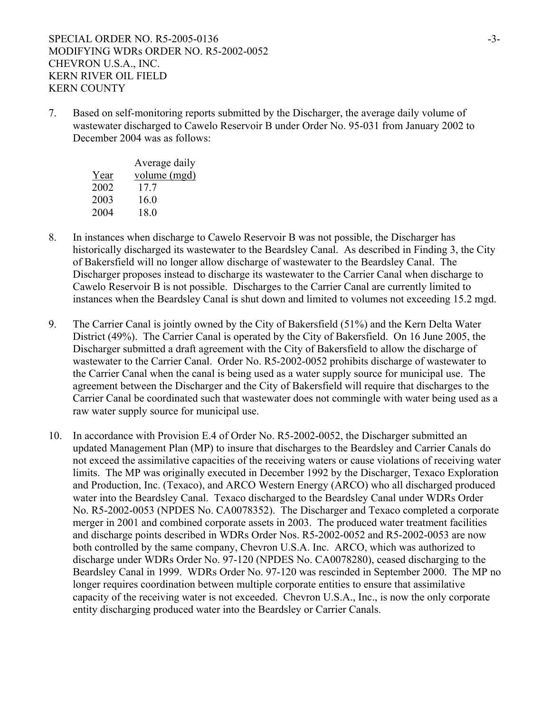7. Based on self-monitoring reports submitted by the Discharger, the average daily volume of wastewater discharged to Cawelo Reservoir B under Order No. 95-031 from January 2002 to December 2004 was as follows:

|      | Average daily |
|------|---------------|
| Year | volume (mgd)  |
| 2002 | 17.7          |
| 2003 | 16.0          |
| 2004 | 18.0          |

- 8. In instances when discharge to Cawelo Reservoir B was not possible, the Discharger has historically discharged its wastewater to the Beardsley Canal. As described in Finding 3, the City of Bakersfield will no longer allow discharge of wastewater to the Beardsley Canal. The Discharger proposes instead to discharge its wastewater to the Carrier Canal when discharge to Cawelo Reservoir B is not possible. Discharges to the Carrier Canal are currently limited to instances when the Beardsley Canal is shut down and limited to volumes not exceeding 15.2 mgd.
- 9. The Carrier Canal is jointly owned by the City of Bakersfield (51%) and the Kern Delta Water District (49%). The Carrier Canal is operated by the City of Bakersfield. On 16 June 2005, the Discharger submitted a draft agreement with the City of Bakersfield to allow the discharge of wastewater to the Carrier Canal. Order No. R5-2002-0052 prohibits discharge of wastewater to the Carrier Canal when the canal is being used as a water supply source for municipal use. The agreement between the Discharger and the City of Bakersfield will require that discharges to the Carrier Canal be coordinated such that wastewater does not commingle with water being used as a raw water supply source for municipal use.
- 10. In accordance with Provision E.4 of Order No. R5-2002-0052, the Discharger submitted an updated Management Plan (MP) to insure that discharges to the Beardsley and Carrier Canals do not exceed the assimilative capacities of the receiving waters or cause violations of receiving water limits. The MP was originally executed in December 1992 by the Discharger, Texaco Exploration and Production, Inc. (Texaco), and ARCO Western Energy (ARCO) who all discharged produced water into the Beardsley Canal. Texaco discharged to the Beardsley Canal under WDRs Order No. R5-2002-0053 (NPDES No. CA0078352). The Discharger and Texaco completed a corporate merger in 2001 and combined corporate assets in 2003. The produced water treatment facilities and discharge points described in WDRs Order Nos. R5-2002-0052 and R5-2002-0053 are now both controlled by the same company, Chevron U.S.A. Inc. ARCO, which was authorized to discharge under WDRs Order No. 97-120 (NPDES No. CA0078280), ceased discharging to the Beardsley Canal in 1999. WDRs Order No. 97-120 was rescinded in September 2000. The MP no longer requires coordination between multiple corporate entities to ensure that assimilative capacity of the receiving water is not exceeded. Chevron U.S.A., Inc., is now the only corporate entity discharging produced water into the Beardsley or Carrier Canals.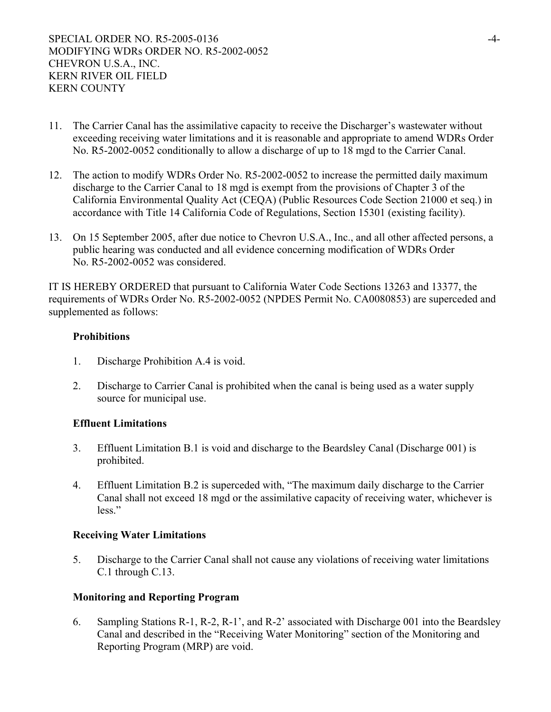- 11. The Carrier Canal has the assimilative capacity to receive the Discharger's wastewater without exceeding receiving water limitations and it is reasonable and appropriate to amend WDRs Order No. R5-2002-0052 conditionally to allow a discharge of up to 18 mgd to the Carrier Canal.
- 12. The action to modify WDRs Order No. R5-2002-0052 to increase the permitted daily maximum discharge to the Carrier Canal to 18 mgd is exempt from the provisions of Chapter 3 of the California Environmental Quality Act (CEQA) (Public Resources Code Section 21000 et seq.) in accordance with Title 14 California Code of Regulations, Section 15301 (existing facility).
- 13. On 15 September 2005, after due notice to Chevron U.S.A., Inc., and all other affected persons, a public hearing was conducted and all evidence concerning modification of WDRs Order No. R5-2002-0052 was considered.

IT IS HEREBY ORDERED that pursuant to California Water Code Sections 13263 and 13377, the requirements of WDRs Order No. R5-2002-0052 (NPDES Permit No. CA0080853) are superceded and supplemented as follows:

## **Prohibitions**

- 1. Discharge Prohibition A.4 is void.
- 2. Discharge to Carrier Canal is prohibited when the canal is being used as a water supply source for municipal use.

## **Effluent Limitations**

- 3. Effluent Limitation B.1 is void and discharge to the Beardsley Canal (Discharge 001) is prohibited.
- 4. Effluent Limitation B.2 is superceded with, "The maximum daily discharge to the Carrier Canal shall not exceed 18 mgd or the assimilative capacity of receiving water, whichever is less."

### **Receiving Water Limitations**

5. Discharge to the Carrier Canal shall not cause any violations of receiving water limitations C.1 through C.13.

### **Monitoring and Reporting Program**

6. Sampling Stations R-1, R-2, R-1', and R-2' associated with Discharge 001 into the Beardsley Canal and described in the "Receiving Water Monitoring" section of the Monitoring and Reporting Program (MRP) are void.